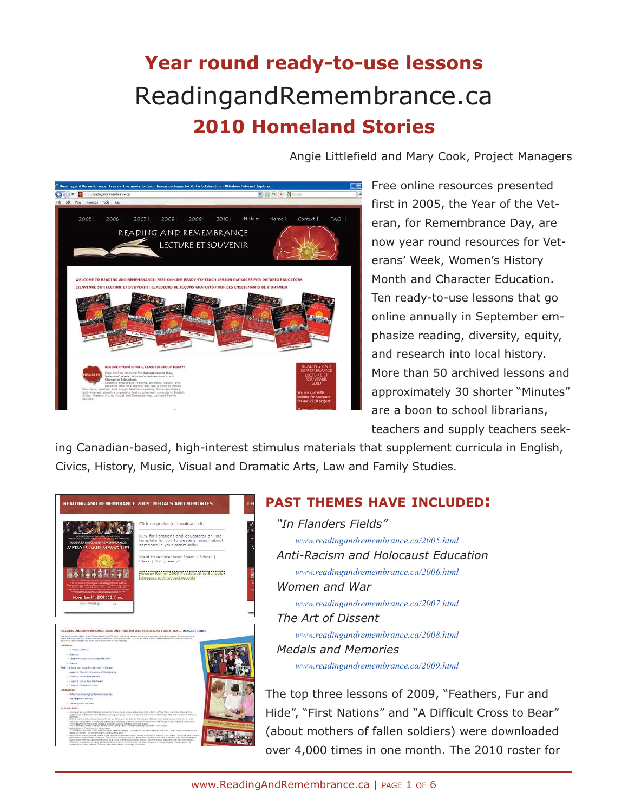# **Year round ready-to-use lessons** ReadingandRemembrance.ca **2010 Homeland Stories**

Angie Littlefield and Mary Cook, Project Managers



Free online resources presented first in 2005, the Year of the Veteran, for Remembrance Day, are now year round resources for Veterans' Week, Women's History Month and Character Education. Ten ready-to-use lessons that go online annually in September emphasize reading, diversity, equity, and research into local history. More than 50 archived lessons and approximately 30 shorter "Minutes" are a boon to school librarians, teachers and supply teachers seek-

ing Canadian-based, high-interest stimulus materials that supplement curricula in English, Civics, History, Music, Visual and Dramatic Arts, Law and Family Studies.



## **PAST THEMES HAVE INCLUDED:**

*"In Flanders Fields" www.readingandremembrance.ca/2005.html Anti-Racism and Holocaust Education www.readingandremembrance.ca/2006.html Women and War*

*www.readingandremembrance.ca/2007.html The Art of Dissent* 

*www.readingandremembrance.ca/2008.html Medals and Memories www.readingandremembrance.ca/2009.html*

The top three lessons of 2009, "Feathers, Fur and Hide", "First Nations" and "A Difficult Cross to Bear" (about mothers of fallen soldiers) were downloaded over 4,000 times in one month. The 2010 roster for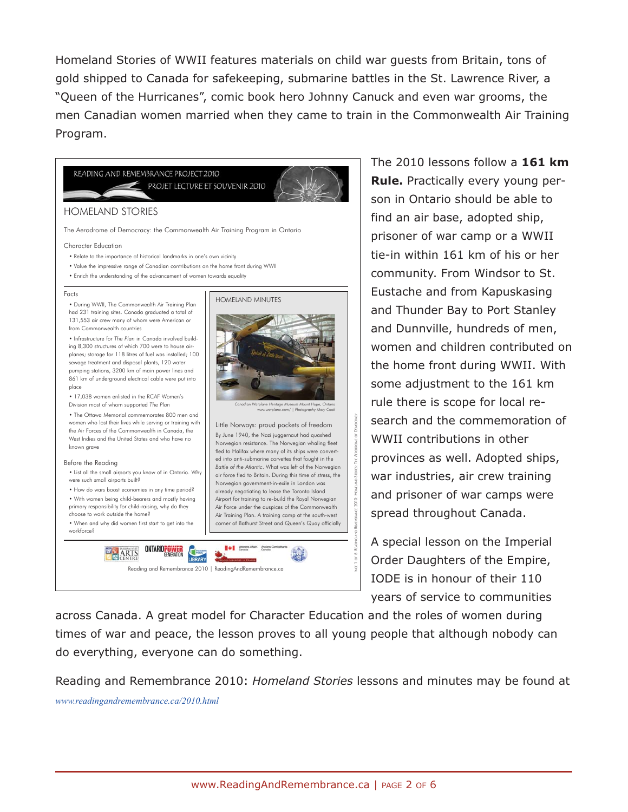Homeland Stories of WWII features materials on child war guests from Britain, tons of gold shipped to Canada for safekeeping, submarine battles in the St. Lawrence River, a "Queen of the Hurricanes", comic book hero Johnny Canuck and even war grooms, the men Canadian women married when they came to train in the Commonwealth Air Training Program.



The 2010 lessons follow a **161 km Rule.** Practically every young person in Ontario should be able to find an air base, adopted ship, prisoner of war camp or a WWII tie-in within 161 km of his or her community. From Windsor to St. Eustache and from Kapuskasing and Thunder Bay to Port Stanley and Dunnville, hundreds of men, women and children contributed on the home front during WWII. With some adjustment to the 161 km rule there is scope for local research and the commemoration of WWII contributions in other provinces as well. Adopted ships, war industries, air crew training and prisoner of war camps were spread throughout Canada.

A special lesson on the Imperial Order Daughters of the Empire, IODE is in honour of their 110 years of service to communities

across Canada. A great model for Character Education and the roles of women during times of war and peace, the lesson proves to all young people that although nobody can do everything, everyone can do something.

Reading and Remembrance 2010: *Homeland Stories* lessons and minutes may be found at *www.readingandremembrance.ca/2010.html*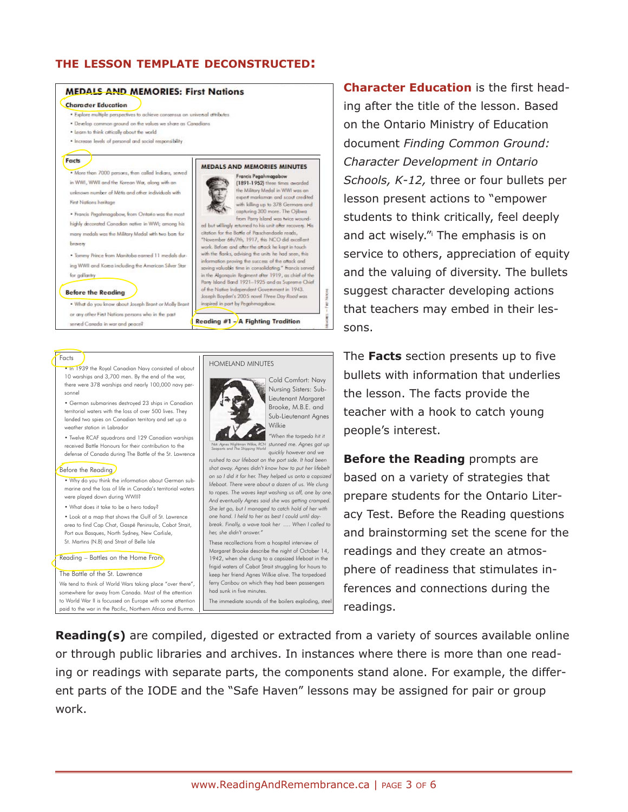### **THE LESSON TEMPLATE DECONSTRUCTED:**



# The **Facts** section presents up to five bullets with information that underlies the lesson. The facts provide the teacher with a hook to catch young people's interest.

**Before the Reading** prompts are based on a variety of strategies that prepare students for the Ontario Literacy Test. Before the Reading questions and brainstorming set the scene for the readings and they create an atmosphere of readiness that stimulates inferences and connections during the readings.

**Reading(s)** are compiled, digested or extracted from a variety of sources available online or through public libraries and archives. In instances where there is more than one reading or readings with separate parts, the components stand alone. For example, the different parts of the IODE and the "Safe Haven" lessons may be assigned for pair or group work.

• In 1939 the Royal Canadian Navy consisted of about 10 warships and 3,700 men. By the end of the war, there were 378 warships and nearly 100,000 navy personnel • German submarines destroyed 23 ships in Canadian territorial waters with the loss of over 500 lives. They landed two spies on Canadian territory and set up a weather station in Labrador

• Twelve RCAF squadrons and 129 Canadian warships received Battle Honours for their contribution to the defense of Canada during The Battle of the St. Lawrence

Before the Reading

Facts

- Why do you think the information about German submarine and the loss of life in Canada's territorial waters were played down during WWII?
- What does it take to be a hero today?

• Look at a map that shows the Gulf of St. Lawrence area to find Cap Chat, Gaspé Peninsula, Cabot Strait, Port aux Basques, North Sydney, New Carlisle, St. Martins (N.B) and Strait of Belle Isle

Reading – Battles on the Home Front

#### The Battle of the St. Lawrence

We tend to think of World Wars taking place "over there", somewhere far away from Canada. Most of the attention to World War II is focussed on Europe with some attention paid to the war in the Pacific, Northern Africa and Burma.

#### HOMELAND MINUTES



Cold Comfort: Navy Nursing Sisters: Sub-Lieutenant Margaret Brooke, M.B.E. and Sub-Lieutenant Agnes Wilkie

*"When the torpedo hit it stunned me. Agnes got up Nstr. Agnes Wightman Wilkie, RCN Seaports and The Shipping World quickly however and we*

*rushed to our lifeboat on the port side. It had been shot away. Agnes didn't know how to put her lifebelt on so I did it for her. They helped us onto a capsized lifeboat. There were about a dozen of us. We clung to ropes. The waves kept washing us off, one by one. And eventually Agnes said she was getting cramped. She let go, but I managed to catch hold of her with one hand. I held to her as best I could until daybreak. Finally, a wave took her …. When I called to her, she didn't answer."* 

These recollections from a hospital interview of Margaret Brooke describe the night of October 14, 1942, when she clung to a capsized lifeboat in the frigid waters of Cabot Strait struggling for hours to keep her friend Agnes Wilkie alive. The torpedoed ferry *Caribou* on which they had been passengers had sunk in five minutes.

The immediate sounds of the boilers exploding, steel

www.ReadingAndRemembrance.ca | PAGE 3 OF 6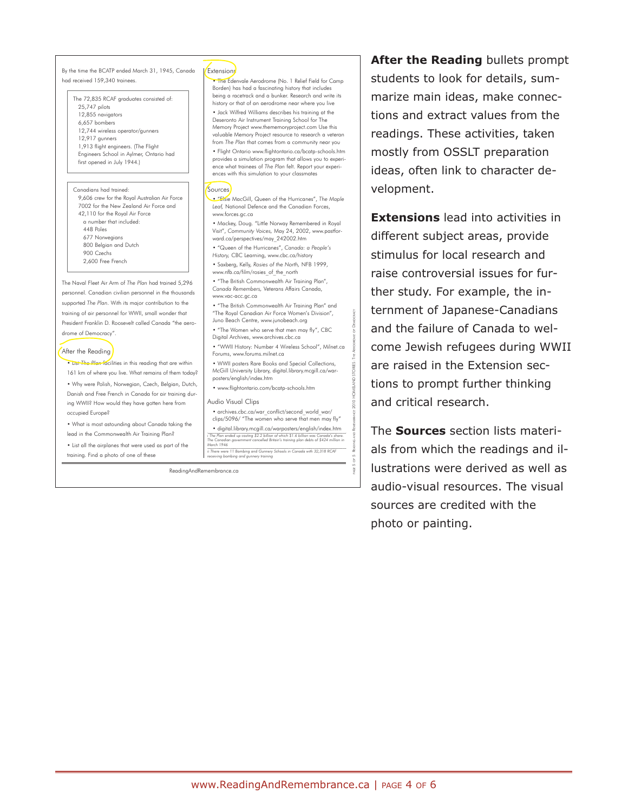By the time the BCATP ended March 31, 1945, Canada had received 159,340 trainees

The 72,835 RCAF graduates consisted of: 25,747 pilots 12,855 navigators 6,657 bombers 12,744 wireless operator/gunners 12,917 gunners 1,913 flight engineers. (The Flight Engineers School in Aylmer, Ontario had first opened in July 1944.)

Canadians had trained: 9,606 crew for the Royal Australian Air Force 7002 for the New Zealand Air Force and 42,110 for the Royal Air Force a number that included: 448 Poles 677 Norwegians 800 Belgian and Dutch 900 Czechs 2,600 Free French

The Naval Fleet Air Arm of *The Plan* had trained 5,296 personnel. Canadian civilian personnel in the thousands supported *The Plan*. With its major contribution to the training of air personnel for WWII, small wonder that President Franklin D. Roosevelt called Canada "the aerodrome of Democracy".

#### After the Reading

- List *The Plan* facilities in this reading that are within 161 km of where you live. What remains of them today?
- Why were Polish, Norwegian, Czech, Belgian, Dutch, Danish and Free French in Canada for air training during WWII? How would they have gotten here from occupied Europe?
- What is most astounding about Canada taking the lead in the Commonwealth Air Training Plan?
- List all the airplanes that were used as part of the training. Find a photo of one of these

#### **Extensions**

• The Edenvale Aerodrome (No. 1 Relief Field for Camp Borden) has had a fascinating history that includes being a racetrack and a bunker. Research and write its history or that of an aerodrome near where you live

• Jack Wilfred Williams describes his training at the Deseronto Air Instrument Training School for The Memory Project www.thememoryproject.com Use this valuable Memory Project resource to research a veteran from *The Plan* that comes from a community near you

• Flight Ontario www.flightontario.ca/bcatp-schools.htm provides a simulation program that allows you to experience what trainees of *The Plan* felt. Report your experiences with this simulation to your classmates

#### Sources

• "Elsie MacGill, Queen of the Hurricanes", *The Maple Leaf,* National Defence and the Canadian Forces, www.forces.gc.ca

• Mackey, Doug. "Little Norway Remembered in Royal Visit", *Community Voices,* May 24, 2002, www.pastforward.ca/perspectives/may\_242002.htm

- "Queen of the Hurricanes", *Canada: a People's History,* CBC Learning, www.cbc.ca/history
- Saxberg, Kelly, *Rosies of the North,* NFB 1999,

www.nfb.ca/film/rosies\_of\_the\_north

• "The British Commonwealth Air Training Plan", *Canada Remembers,* Veterans Affairs Canada, www.vac-acc.gc.ca

• "The British Commonwealth Air Training Plan" and "The Royal Canadian Air Force Women's Division", Juno Beach Centre, www.junobeach.org

• "The Women who serve that men may fly", CBC Digital Archives, www.archives.cbc.ca

• "WWII History: Number 4 Wireless School", Milnet.ca Forums, www.forums.milnet.ca

• WWII posters Rare Books and Special Collections, McGill University Library, digital.library.mcgill.ca/warPAGE 5 OF 5 READING AND REMEMBRANCE 2010 HOMELAND STORIES: THE AERODROME OF DEMOCRACY

posters/english/index.htm • www.flightontario.com/bcatp-schools.htm

#### Audio Visual Clips

• archives.cbc.ca/war\_conflict/second\_world\_war/ clips/5096/ "The women who serve that men may fly" • digital.library.mcgill.ca/warposters/english/index.htm<br>- The Plan ended up costing \$2.2 billion of which \$1.6 billion was Canada's share.<br>The Canadian government cancelled Britain's training plan debts of \$424 million in

*March 1946 ii There were 11 Bombing and Gunnery Schools in Canada with 32,318 RCAF receiving bombing and gunnery training*

ReadingAndRemembrance.ca

# **After the Reading** bullets prompt students to look for details, summarize main ideas, make connections and extract values from the readings. These activities, taken mostly from OSSLT preparation ideas, often link to character development.

**Extensions** lead into activities in different subject areas, provide stimulus for local research and raise controversial issues for further study. For example, the internment of Japanese-Canadians and the failure of Canada to welcome Jewish refugees during WWII are raised in the Extension sections to prompt further thinking and critical research.

The **Sources** section lists materials from which the readings and illustrations were derived as well as audio-visual resources. The visual sources are credited with the photo or painting.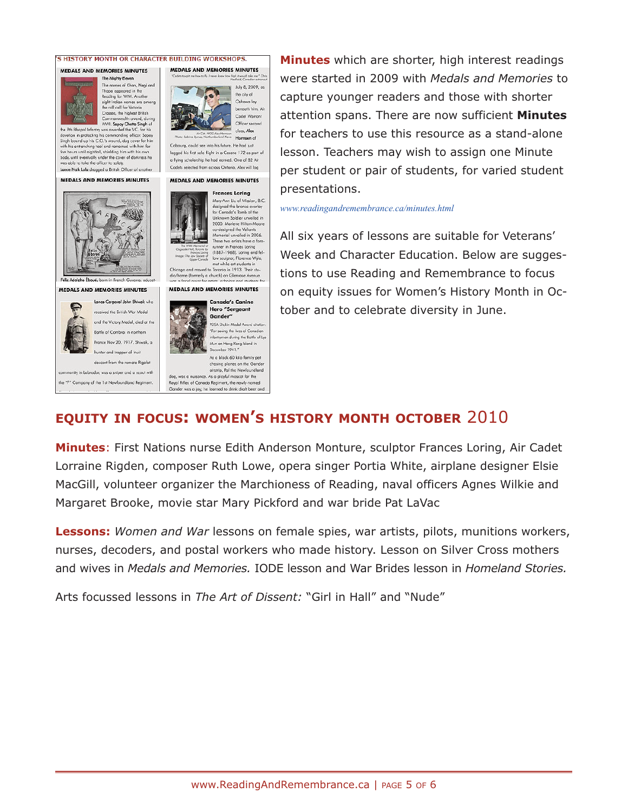

**Minutes** which are shorter, high interest readings were started in 2009 with *Medals and Memories* to capture younger readers and those with shorter attention spans. There are now sufficient **Minutes** for teachers to use this resource as a stand-alone lesson. Teachers may wish to assign one Minute per student or pair of students, for varied student presentations.

*www.readingandremembrance.ca/minutes.html*

All six years of lessons are suitable for Veterans' Week and Character Education. Below are suggestions to use Reading and Remembrance to focus on equity issues for Women's History Month in October and to celebrate diversity in June.

# **EQUITY IN FOCUS: WOMEN'S HISTORY MONTH OCTOBER** 2010

**Minutes**: First Nations nurse Edith Anderson Monture, sculptor Frances Loring, Air Cadet Lorraine Rigden, composer Ruth Lowe, opera singer Portia White, airplane designer Elsie MacGill, volunteer organizer the Marchioness of Reading, naval officers Agnes Wilkie and Margaret Brooke, movie star Mary Pickford and war bride Pat LaVac

**Lessons:** *Women and War* lessons on female spies, war artists, pilots, munitions workers, nurses, decoders, and postal workers who made history. Lesson on Silver Cross mothers and wives in *Medals and Memories.* IODE lesson and War Brides lesson in *Homeland Stories.*

Arts focussed lessons in *The Art of Dissent:* "Girl in Hall" and "Nude"